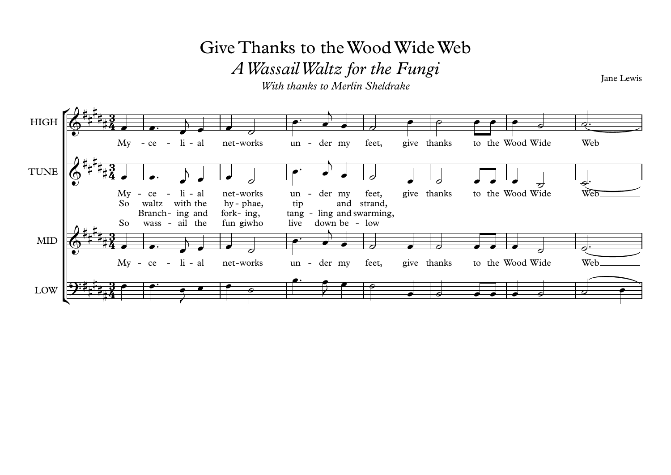## Give Thanks to theWoodWideWeb

*AWassailWaltz for the Fungi*

Jane Lewis

*With thanks to Merlin Sheldrake*